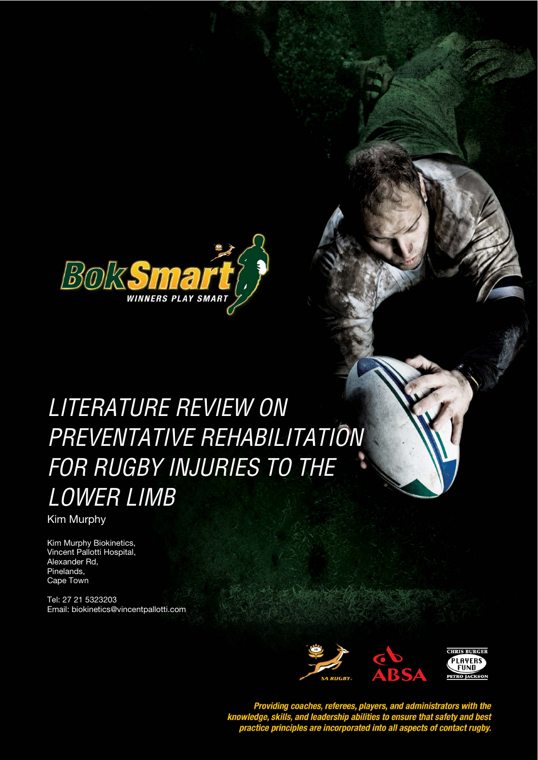

Literature Review on Preventative Rehabilitation for Rugby injuries to the Lower Limb

# LITERATURE REVIEW ON **STYLE HEADING FOR TABLES**  PREVENTATIVE REHABILITATION FOR RUGBY INJURIES TO THE LOWER LIMB

Kim Murphy

Kim Murphy Biokinetics, Vincent Pallotti Hospital, Alexander Rd, Pinelands, Cape Town

Tel: 27 21 5323203 Email: biokinetics@vincentpallotti.com



Providing coaches, referees, players, and administrators with the<br>knowledge, skills, and leadership abilities to ensure that safety and best<br>practice principles are incorporated into all aspects of contact rugby.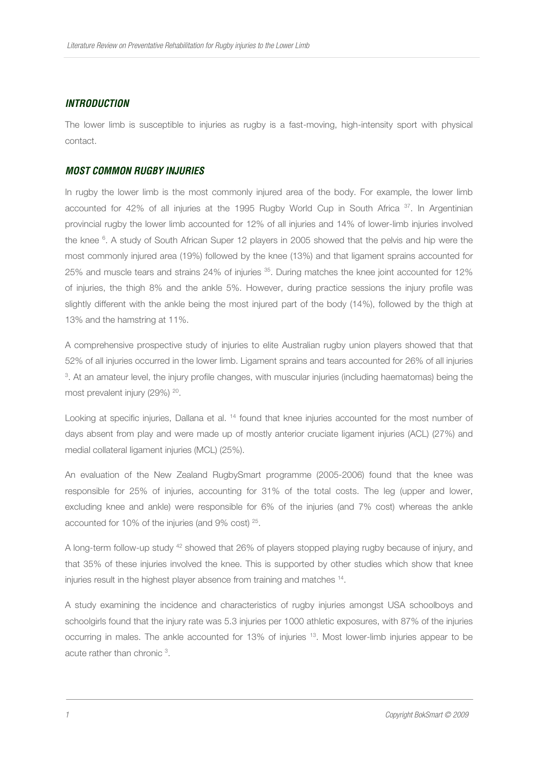## **INTRODUCTION**

The lower limb is susceptible to injuries as rugby is a fast-moving, high-intensity sport with physical contact.

## **MOST COMMON RUGBY INJURIES**

In rugby the lower limb is the most commonly injured area of the body. For example, the lower limb accounted for 42% of all injuries at the 1995 Rugby World Cup in South Africa <sup>37</sup>. In Argentinian provincial rugby the lower limb accounted for 12% of all injuries and 14% of lower-limb injuries involved the knee <sup>6</sup>. A study of South African Super 12 players in 2005 showed that the pelvis and hip were the most commonly injured area (19%) followed by the knee (13%) and that ligament sprains accounted for 25% and muscle tears and strains 24% of injuries <sup>35</sup>. During matches the knee joint accounted for 12% of injuries, the thigh 8% and the ankle 5%. However, during practice sessions the injury profile was slightly different with the ankle being the most injured part of the body (14%), followed by the thigh at 13% and the hamstring at 11%.

A comprehensive prospective study of injuries to elite Australian rugby union players showed that that 52% of all injuries occurred in the lower limb. Ligament sprains and tears accounted for 26% of all injuries 3 . At an amateur level, the injury profile changes, with muscular injuries (including haematomas) being the most prevalent injury (29%) <sup>20</sup>.

Looking at specific injuries, Dallana et al. <sup>14</sup> found that knee injuries accounted for the most number of days absent from play and were made up of mostly anterior cruciate ligament injuries (ACL) (27%) and medial collateral ligament injuries (MCL) (25%).

An evaluation of the New Zealand RugbySmart programme (2005-2006) found that the knee was responsible for 25% of injuries, accounting for 31% of the total costs. The leg (upper and lower, excluding knee and ankle) were responsible for 6% of the injuries (and 7% cost) whereas the ankle accounted for 10% of the injuries (and 9% cost) <sup>25</sup> .

A long-term follow-up study <sup>42</sup> showed that 26% of players stopped playing rugby because of injury, and that 35% of these injuries involved the knee. This is supported by other studies which show that knee injuries result in the highest player absence from training and matches <sup>14</sup> .

A study examining the incidence and characteristics of rugby injuries amongst USA schoolboys and schoolgirls found that the injury rate was 5.3 injuries per 1000 athletic exposures, with 87% of the injuries occurring in males. The ankle accounted for 13% of injuries <sup>13</sup>. Most lower-limb injuries appear to be acute rather than chronic<sup>3</sup>.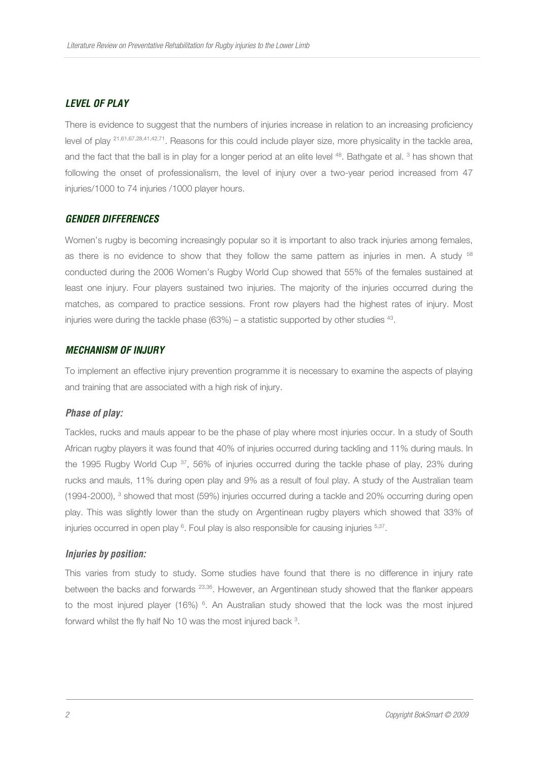## **LEVEL OF PLAY**

There is evidence to suggest that the numbers of injuries increase in relation to an increasing proficiency level of play 21,61,67,28,41,42,71. Reasons for this could include player size, more physicality in the tackle area, and the fact that the ball is in play for a longer period at an elite level <sup>48</sup>. Bathgate et al. <sup>3</sup> has shown that following the onset of professionalism, the level of injury over a two-year period increased from 47 injuries/1000 to 74 injuries /1000 player hours.

## **GENDER DIFFERENCES**

Women's rugby is becoming increasingly popular so it is important to also track injuries among females, as there is no evidence to show that they follow the same pattern as injuries in men. A study <sup>58</sup> conducted during the 2006 Women's Rugby World Cup showed that 55% of the females sustained at least one injury. Four players sustained two injuries. The majority of the injuries occurred during the matches, as compared to practice sessions. Front row players had the highest rates of injury. Most injuries were during the tackle phase  $(63%)$  – a statistic supported by other studies  $43$ .

## **MECHANISM OF INJURY**

To implement an effective injury prevention programme it is necessary to examine the aspects of playing and training that are associated with a high risk of injury.

#### **Phase of play:**

Tackles, rucks and mauls appear to be the phase of play where most injuries occur. In a study of South African rugby players it was found that 40% of injuries occurred during tackling and 11% during mauls. In the 1995 Rugby World Cup <sup>37</sup>, 56% of injuries occurred during the tackle phase of play, 23% during rucks and mauls, 11% during open play and 9% as a result of foul play. A study of the Australian team (1994-2000), <sup>3</sup> showed that most (59%) injuries occurred during a tackle and 20% occurring during open play. This was slightly lower than the study on Argentinean rugby players which showed that 33% of injuries occurred in open play <sup>6</sup>. Foul play is also responsible for causing injuries <sup>5,37</sup>.

#### **Injuries by position:**

This varies from study to study. Some studies have found that there is no difference in injury rate between the backs and forwards <sup>23,36</sup>. However, an Argentinean study showed that the flanker appears to the most injured player (16%)  $6$ . An Australian study showed that the lock was the most injured forward whilst the fly half No 10 was the most injured back <sup>3</sup>.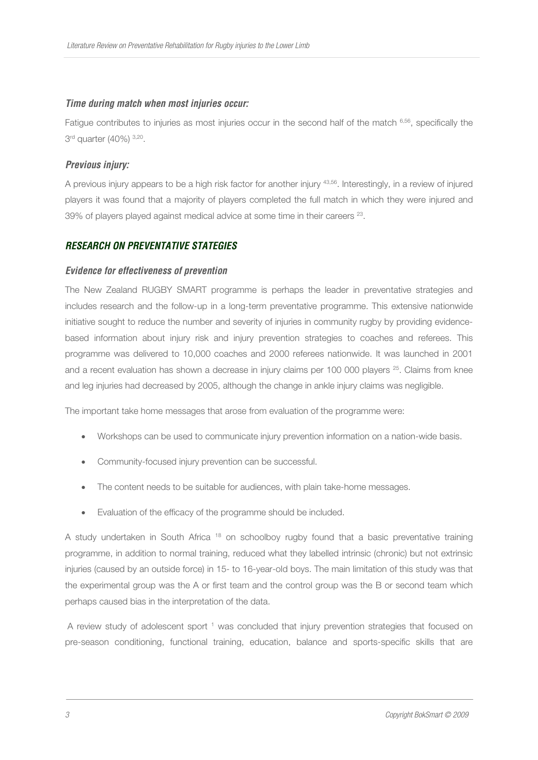## **Time during match when most injuries occur:**

Fatigue contributes to injuries as most injuries occur in the second half of the match 6,56, specifically the 3<sup>rd</sup> quarter (40%) <sup>3,20</sup>.

## **Previous injury:**

A previous injury appears to be a high risk factor for another injury 43,56. Interestingly, in a review of injured players it was found that a majority of players completed the full match in which they were injured and 39% of players played against medical advice at some time in their careers <sup>23</sup>.

## **RESEARCH ON PREVENTATIVE STATEGIES**

#### **Evidence for effectiveness of prevention**

The New Zealand RUGBY SMART programme is perhaps the leader in preventative strategies and includes research and the follow-up in a long-term preventative programme. This extensive nationwide initiative sought to reduce the number and severity of injuries in community rugby by providing evidencebased information about injury risk and injury prevention strategies to coaches and referees. This programme was delivered to 10,000 coaches and 2000 referees nationwide. It was launched in 2001 and a recent evaluation has shown a decrease in injury claims per 100 000 players <sup>25</sup>. Claims from knee and leg injuries had decreased by 2005, although the change in ankle injury claims was negligible.

The important take home messages that arose from evaluation of the programme were:

- Workshops can be used to communicate injury prevention information on a nation-wide basis.
- Community-focused injury prevention can be successful.
- The content needs to be suitable for audiences, with plain take-home messages.
- Evaluation of the efficacy of the programme should be included.

A study undertaken in South Africa <sup>18</sup> on schoolboy rugby found that a basic preventative training programme, in addition to normal training, reduced what they labelled intrinsic (chronic) but not extrinsic injuries (caused by an outside force) in 15- to 16-year-old boys. The main limitation of this study was that the experimental group was the A or first team and the control group was the B or second team which perhaps caused bias in the interpretation of the data.

A review study of adolescent sport <sup>1</sup> was concluded that injury prevention strategies that focused on pre-season conditioning, functional training, education, balance and sports-specific skills that are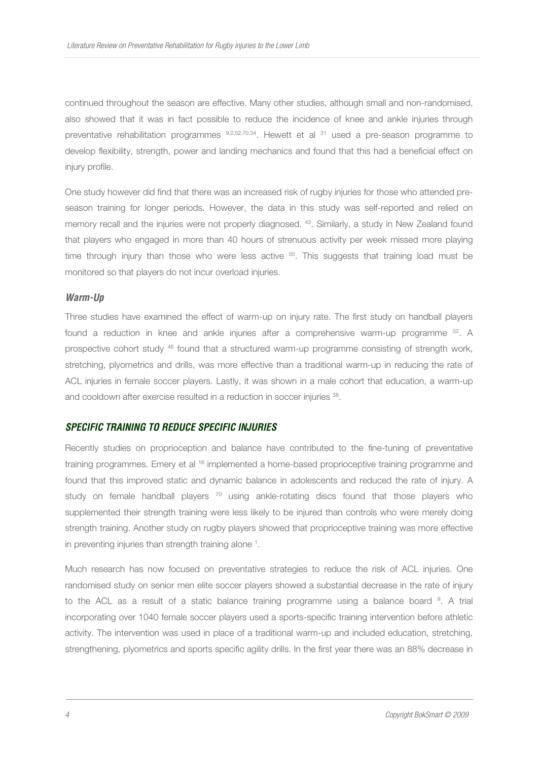continued throughout the season are effective. Many other studies, although small and non-randomised, also showed that it was in fact possible to reduce the incidence of knee and ankle injuries through preventative rehabilitation programmes  $9,2,52,70,34$ . Hewett et al  $31$  used a pre-season programme to develop flexibility, strength, power and landing mechanics and found that this had a beneficial effect on iniury profile.

One study however did find that there was an increased risk of rugby injuries for those who attended preseason training for longer periods. However, the data in this study was self-reported and relied on memory recall and the injuries were not properly diagnosed. <sup>43</sup>. Similarly, a study in New Zealand found that players who engaged in more than 40 hours of strenuous activity per week missed more playing time through injury than those who were less active <sup>55</sup>. This suggests that training load must be monitored so that players do not incur overload injuries.

#### **Warm-Up**

Three studies have examined the effect of warm-up on injury rate. The first study on handball players found a reduction in knee and ankle injuries after a comprehensive warm-up programme <sup>52</sup>. A prospective cohort study <sup>46</sup> found that a structured warm-up programme consisting of strength work, stretching, plyometrics and drills, was more effective than a traditional warm-up in reducing the rate of ACL injuries in female soccer players. Lastly, it was shown in a male cohort that education, a warm-up and cooldown after exercise resulted in a reduction in soccer injuries <sup>38</sup>.

#### **SPECIFIC TRAINING TO REDUCE SPECIFIC INJURIES**

Recently studies on proprioception and balance have contributed to the fine-tuning of preventative training programmes. Emery et al <sup>16</sup> implemented a home-based proprioceptive training programme and found that this improved static and dynamic balance in adolescents and reduced the rate of injury. A study on female handball players  $70$  using ankle-rotating discs found that those players who supplemented their strength training were less likely to be injured than controls who were merely doing strength training. Another study on rugby players showed that proprioceptive training was more effective in preventing injuries than strength training alone<sup>1</sup>.

Much research has now focused on preventative strategies to reduce the risk of ACL injuries. One randomised study on senior men elite soccer players showed a substantial decrease in the rate of injury to the ACL as a result of a static balance training programme using a balance board <sup>9</sup>. A trial incorporating over 1040 female soccer players used a sports-specific training intervention before athletic activity. The intervention was used in place of a traditional warm-up and included education, stretching, strengthening, plyometrics and sports specific agility drills. In the first year there was an 88% decrease in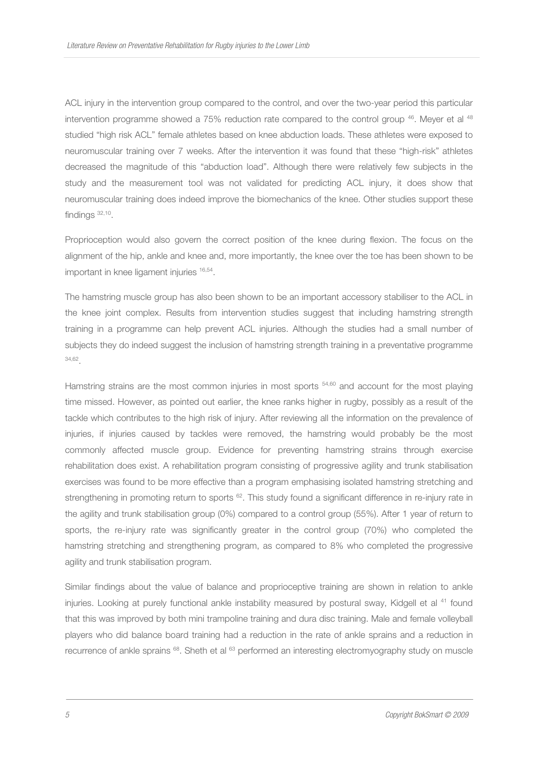ACL injury in the intervention group compared to the control, and over the two-year period this particular intervention programme showed a  $75\%$  reduction rate compared to the control group  $46$ . Meyer et al  $48$ studied "high risk ACL" female athletes based on knee abduction loads. These athletes were exposed to neuromuscular training over 7 weeks. After the intervention it was found that these "high-risk" athletes decreased the magnitude of this "abduction load". Although there were relatively few subjects in the study and the measurement tool was not validated for predicting ACL injury, it does show that neuromuscular training does indeed improve the biomechanics of the knee. Other studies support these findings <sup>32,10</sup>.

Proprioception would also govern the correct position of the knee during flexion. The focus on the alignment of the hip, ankle and knee and, more importantly, the knee over the toe has been shown to be important in knee ligament injuries 16,54 .

The hamstring muscle group has also been shown to be an important accessory stabiliser to the ACL in the knee joint complex. Results from intervention studies suggest that including hamstring strength training in a programme can help prevent ACL injuries. Although the studies had a small number of subjects they do indeed suggest the inclusion of hamstring strength training in a preventative programme 34,62 .

Hamstring strains are the most common injuries in most sports <sup>54,60</sup> and account for the most playing time missed. However, as pointed out earlier, the knee ranks higher in rugby, possibly as a result of the tackle which contributes to the high risk of injury. After reviewing all the information on the prevalence of injuries, if injuries caused by tackles were removed, the hamstring would probably be the most commonly affected muscle group. Evidence for preventing hamstring strains through exercise rehabilitation does exist. A rehabilitation program consisting of progressive agility and trunk stabilisation exercises was found to be more effective than a program emphasising isolated hamstring stretching and strengthening in promoting return to sports <sup>62</sup>. This study found a significant difference in re-injury rate in the agility and trunk stabilisation group (0%) compared to a control group (55%). After 1 year of return to sports, the re-injury rate was significantly greater in the control group (70%) who completed the hamstring stretching and strengthening program, as compared to 8% who completed the progressive agility and trunk stabilisation program.

Similar findings about the value of balance and proprioceptive training are shown in relation to ankle injuries. Looking at purely functional ankle instability measured by postural sway, Kidgell et al <sup>41</sup> found that this was improved by both mini trampoline training and dura disc training. Male and female volleyball players who did balance board training had a reduction in the rate of ankle sprains and a reduction in recurrence of ankle sprains  $68$ . Sheth et al  $63$  performed an interesting electromyography study on muscle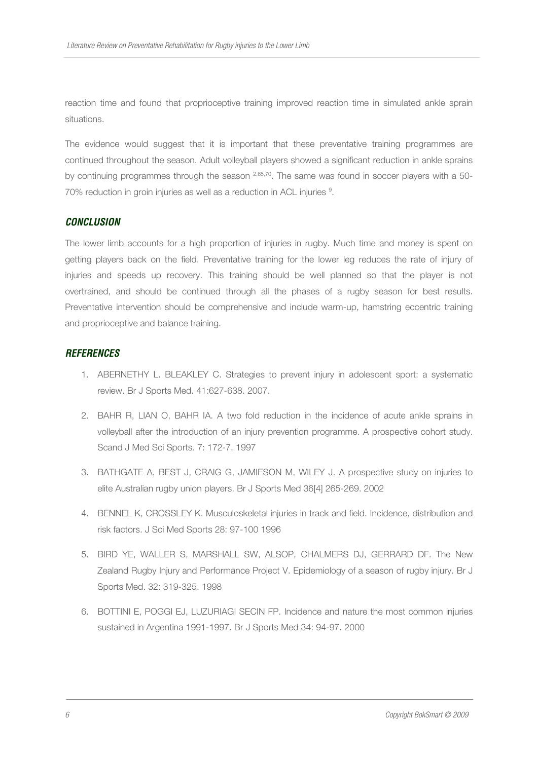reaction time and found that proprioceptive training improved reaction time in simulated ankle sprain situations.

The evidence would suggest that it is important that these preventative training programmes are continued throughout the season. Adult volleyball players showed a significant reduction in ankle sprains by continuing programmes through the season  $^{2,65,70}$ . The same was found in soccer players with a 50-70% reduction in groin injuries as well as a reduction in ACL injuries <sup>9</sup>.

#### **CONCLUSION**

The lower limb accounts for a high proportion of injuries in rugby. Much time and money is spent on getting players back on the field. Preventative training for the lower leg reduces the rate of injury of injuries and speeds up recovery. This training should be well planned so that the player is not overtrained, and should be continued through all the phases of a rugby season for best results. Preventative intervention should be comprehensive and include warm-up, hamstring eccentric training and proprioceptive and balance training.

## **REFERENCES**

- 1. ABERNETHY L. BLEAKLEY C. Strategies to prevent injury in adolescent sport: a systematic review. Br J Sports Med. 41:627-638. 2007.
- 2. BAHR R, LIAN O, BAHR IA. A two fold reduction in the incidence of acute ankle sprains in volleyball after the introduction of an injury prevention programme. A prospective cohort study. Scand J Med Sci Sports. 7: 172-7. 1997
- 3. BATHGATE A, BEST J, CRAIG G, JAMIESON M, WILEY J. A prospective study on injuries to elite Australian rugby union players. Br J Sports Med 36[4] 265-269. 2002
- 4. BENNEL K, CROSSLEY K. Musculoskeletal injuries in track and field. Incidence, distribution and risk factors. J Sci Med Sports 28: 97-100 1996
- 5. BIRD YE, WALLER S, MARSHALL SW, ALSOP, CHALMERS DJ, GERRARD DF. The New Zealand Rugby Injury and Performance Project V. Epidemiology of a season of rugby injury. Br J Sports Med. 32: 319-325. 1998
- 6. BOTTINI E, POGGI EJ, LUZURIAGI SECIN FP. Incidence and nature the most common injuries sustained in Argentina 1991-1997. Br J Sports Med 34: 94-97. 2000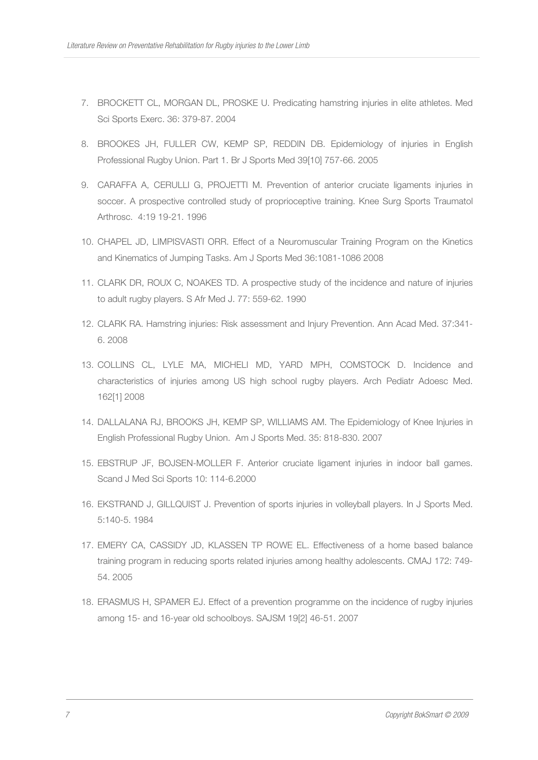- 7. BROCKETT CL, MORGAN DL, PROSKE U. Predicating hamstring injuries in elite athletes. Med Sci Sports Exerc. 36: 379-87. 2004
- 8. BROOKES JH, FULLER CW, KEMP SP, REDDIN DB. Epidemiology of injuries in English Professional Rugby Union. Part 1. Br J Sports Med 39[10] 757-66. 2005
- 9. CARAFFA A, CERULLI G, PROJETTI M. Prevention of anterior cruciate ligaments injuries in soccer. A prospective controlled study of proprioceptive training. Knee Surg Sports Traumatol Arthrosc. 4:19 19-21. 1996
- 10. CHAPEL JD, LIMPISVASTI ORR. Effect of a Neuromuscular Training Program on the Kinetics and Kinematics of Jumping Tasks. Am J Sports Med 36:1081-1086 2008
- 11. CLARK DR, ROUX C, NOAKES TD. A prospective study of the incidence and nature of injuries to adult rugby players. S Afr Med J. 77: 559-62. 1990
- 12. CLARK RA. Hamstring injuries: Risk assessment and Injury Prevention. Ann Acad Med. 37:341- 6. 2008
- 13. COLLINS CL, LYLE MA, MICHELI MD, YARD MPH, COMSTOCK D. Incidence and characteristics of injuries among US high school rugby players. Arch Pediatr Adoesc Med. 162[1] 2008
- 14. DALLALANA RJ, BROOKS JH, KEMP SP, WILLIAMS AM. The Epidemiology of Knee Injuries in English Professional Rugby Union. Am J Sports Med. 35: 818-830. 2007
- 15. EBSTRUP JF, BOJSEN-MOLLER F. Anterior cruciate ligament injuries in indoor ball games. Scand J Med Sci Sports 10: 114-6.2000
- 16. EKSTRAND J, GILLQUIST J. Prevention of sports injuries in volleyball players. In J Sports Med. 5:140-5. 1984
- 17. EMERY CA, CASSIDY JD, KLASSEN TP ROWE EL. Effectiveness of a home based balance training program in reducing sports related injuries among healthy adolescents. CMAJ 172: 749- 54. 2005
- 18. ERASMUS H, SPAMER EJ. Effect of a prevention programme on the incidence of rugby injuries among 15- and 16-year old schoolboys. SAJSM 19[2] 46-51. 2007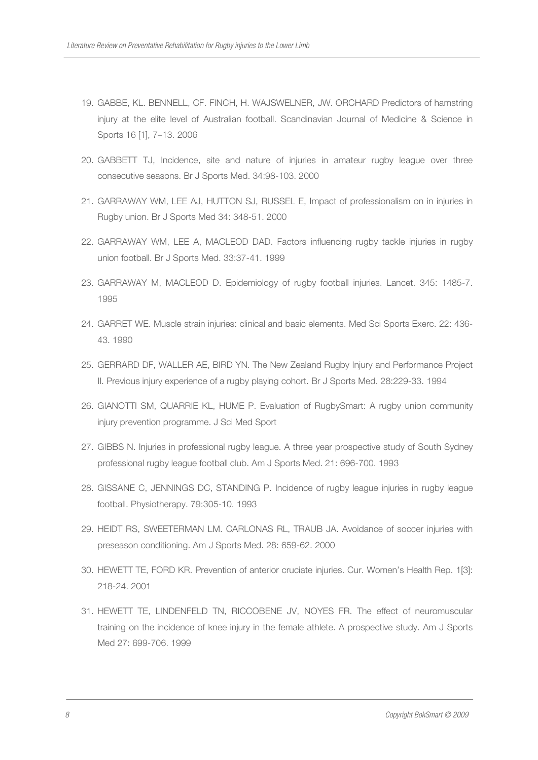- 19. GABBE, KL. BENNELL, CF. FINCH, H. WAJSWELNER, JW. ORCHARD Predictors of hamstring injury at the elite level of Australian football. Scandinavian Journal of Medicine & Science in Sports 16 [1], 7–13. 2006
- 20. GABBETT TJ, Incidence, site and nature of injuries in amateur rugby league over three consecutive seasons. Br J Sports Med. 34:98-103. 2000
- 21. GARRAWAY WM, LEE AJ, HUTTON SJ, RUSSEL E, Impact of professionalism on in injuries in Rugby union. Br J Sports Med 34: 348-51. 2000
- 22. GARRAWAY WM, LEE A, MACLEOD DAD. Factors influencing rugby tackle injuries in rugby union football. Br J Sports Med. 33:37-41. 1999
- 23. GARRAWAY M, MACLEOD D. Epidemiology of rugby football injuries. Lancet. 345: 1485-7. 1995
- 24. GARRET WE. Muscle strain injuries: clinical and basic elements. Med Sci Sports Exerc. 22: 436- 43. 1990
- 25. GERRARD DF, WALLER AE, BIRD YN. The New Zealand Rugby Injury and Performance Project II. Previous injury experience of a rugby playing cohort. Br J Sports Med. 28:229-33. 1994
- 26. GIANOTTI SM, QUARRIE KL, HUME P. Evaluation of RugbySmart: A rugby union community injury prevention programme. J Sci Med Sport
- 27. GIBBS N. Injuries in professional rugby league. A three year prospective study of South Sydney professional rugby league football club. Am J Sports Med. 21: 696-700. 1993
- 28. GISSANE C, JENNINGS DC, STANDING P. Incidence of rugby league injuries in rugby league football. Physiotherapy. 79:305-10. 1993
- 29. HEIDT RS, SWEETERMAN LM. CARLONAS RL, TRAUB JA. Avoidance of soccer injuries with preseason conditioning. Am J Sports Med. 28: 659-62. 2000
- 30. HEWETT TE, FORD KR. Prevention of anterior cruciate injuries. Cur. Women's Health Rep. 1[3]: 218-24. 2001
- 31. HEWETT TE, LINDENFELD TN, RICCOBENE JV, NOYES FR. The effect of neuromuscular training on the incidence of knee injury in the female athlete. A prospective study. Am J Sports Med 27: 699-706. 1999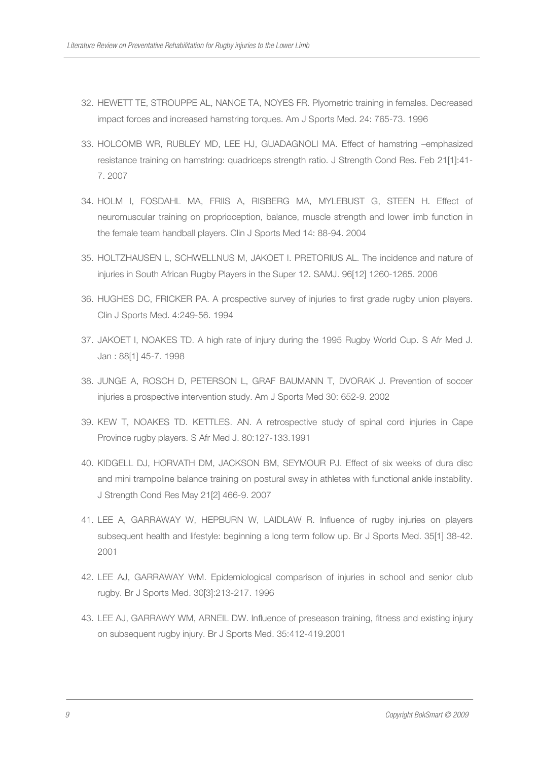- 32. HEWETT TE, STROUPPE AL, NANCE TA, NOYES FR. Plyometric training in females. Decreased impact forces and increased hamstring torques. Am J Sports Med. 24: 765-73. 1996
- 33. HOLCOMB WR, RUBLEY MD, LEE HJ, GUADAGNOLI MA. Effect of hamstring –emphasized resistance training on hamstring: quadriceps strength ratio. J Strength Cond Res. Feb 21[1]:41- 7. 2007
- 34. HOLM I, FOSDAHL MA, FRIIS A, RISBERG MA, MYLEBUST G, STEEN H. Effect of neuromuscular training on proprioception, balance, muscle strength and lower limb function in the female team handball players. Clin J Sports Med 14: 88-94. 2004
- 35. HOLTZHAUSEN L, SCHWELLNUS M, JAKOET I. PRETORIUS AL. The incidence and nature of injuries in South African Rugby Players in the Super 12. SAMJ. 96[12] 1260-1265. 2006
- 36. HUGHES DC, FRICKER PA. A prospective survey of injuries to first grade rugby union players. Clin J Sports Med. 4:249-56. 1994
- 37. JAKOET I, NOAKES TD. A high rate of injury during the 1995 Rugby World Cup. S Afr Med J. Jan : 88[1] 45-7. 1998
- 38. JUNGE A, ROSCH D, PETERSON L, GRAF BAUMANN T, DVORAK J. Prevention of soccer injuries a prospective intervention study. Am J Sports Med 30: 652-9. 2002
- 39. KEW T, NOAKES TD. KETTLES. AN. A retrospective study of spinal cord injuries in Cape Province rugby players. S Afr Med J. 80:127-133.1991
- 40. KIDGELL DJ, HORVATH DM, JACKSON BM, SEYMOUR PJ. Effect of six weeks of dura disc and mini trampoline balance training on postural sway in athletes with functional ankle instability. J Strength Cond Res May 21[2] 466-9. 2007
- 41. LEE A, GARRAWAY W, HEPBURN W, LAIDLAW R. Influence of rugby injuries on players subsequent health and lifestyle: beginning a long term follow up. Br J Sports Med. 35[1] 38-42. 2001
- 42. LEE AJ, GARRAWAY WM. Epidemiological comparison of injuries in school and senior club rugby. Br J Sports Med. 30[3]:213-217. 1996
- 43. LEE AJ, GARRAWY WM, ARNEIL DW. Influence of preseason training, fitness and existing injury on subsequent rugby injury. Br J Sports Med. 35:412-419.2001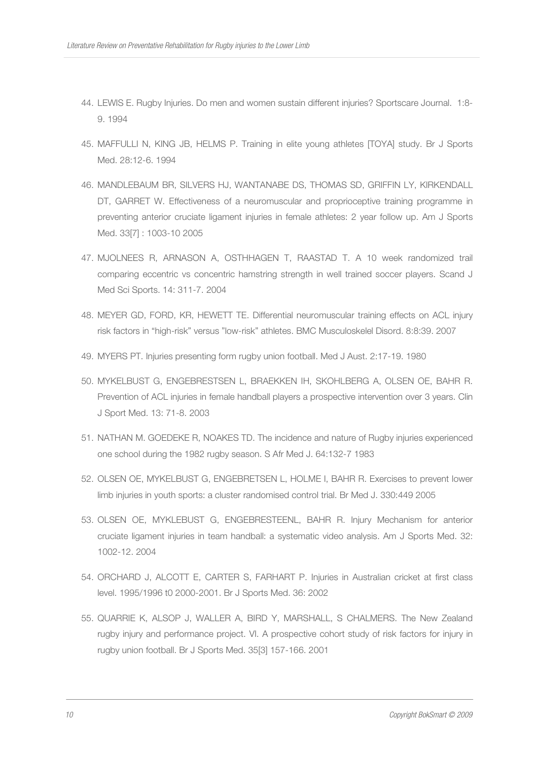- 44. LEWIS E. Rugby Injuries. Do men and women sustain different injuries? Sportscare Journal. 1:8- 9. 1994
- 45. MAFFULLI N, KING JB, HELMS P. Training in elite young athletes [TOYA] study. Br J Sports Med. 28:12-6. 1994
- 46. MANDLEBAUM BR, SILVERS HJ, WANTANABE DS, THOMAS SD, GRIFFIN LY, KIRKENDALL DT, GARRET W. Effectiveness of a neuromuscular and proprioceptive training programme in preventing anterior cruciate ligament injuries in female athletes: 2 year follow up. Am J Sports Med. 33[7] : 1003-10 2005
- 47. MJOLNEES R, ARNASON A, OSTHHAGEN T, RAASTAD T. A 10 week randomized trail comparing eccentric vs concentric hamstring strength in well trained soccer players. Scand J Med Sci Sports. 14: 311-7. 2004
- 48. MEYER GD, FORD, KR, HEWETT TE. Differential neuromuscular training effects on ACL injury risk factors in "high-risk" versus "low-risk" athletes. BMC Musculoskelel Disord. 8:8:39. 2007
- 49. MYERS PT. Injuries presenting form rugby union football. Med J Aust. 2:17-19. 1980
- 50. MYKELBUST G, ENGEBRESTSEN L, BRAEKKEN IH, SKOHLBERG A, OLSEN OE, BAHR R. Prevention of ACL injuries in female handball players a prospective intervention over 3 years. Clin J Sport Med. 13: 71-8. 2003
- 51. NATHAN M. GOEDEKE R, NOAKES TD. The incidence and nature of Rugby injuries experienced one school during the 1982 rugby season. S Afr Med J. 64:132-7 1983
- 52. OLSEN OE, MYKELBUST G, ENGEBRETSEN L, HOLME I, BAHR R. Exercises to prevent lower limb injuries in youth sports: a cluster randomised control trial. Br Med J. 330:449 2005
- 53. OLSEN OE, MYKLEBUST G, ENGEBRESTEENL, BAHR R. Injury Mechanism for anterior cruciate ligament injuries in team handball: a systematic video analysis. Am J Sports Med. 32: 1002-12. 2004
- 54. ORCHARD J, ALCOTT E, CARTER S, FARHART P. Injuries in Australian cricket at first class level. 1995/1996 t0 2000-2001. Br J Sports Med. 36: 2002
- 55. QUARRIE K, ALSOP J, WALLER A, BIRD Y, MARSHALL, S CHALMERS. The New Zealand rugby injury and performance project. VI. A prospective cohort study of risk factors for injury in rugby union football. Br J Sports Med. 35[3] 157-166. 2001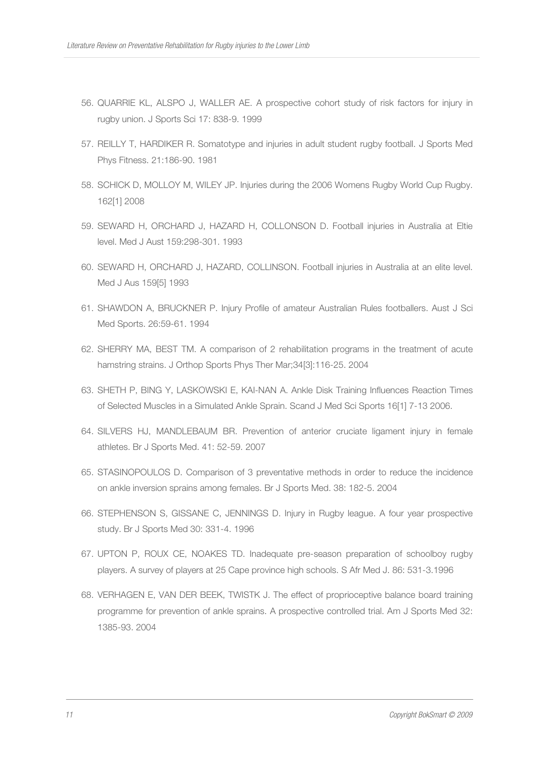- 56. QUARRIE KL, ALSPO J, WALLER AE. A prospective cohort study of risk factors for injury in rugby union. J Sports Sci 17: 838-9. 1999
- 57. REILLY T, HARDIKER R. Somatotype and injuries in adult student rugby football. J Sports Med Phys Fitness. 21:186-90. 1981
- 58. SCHICK D, MOLLOY M, WILEY JP. Injuries during the 2006 Womens Rugby World Cup Rugby. 162[1] 2008
- 59. SEWARD H, ORCHARD J, HAZARD H, COLLONSON D. Football injuries in Australia at Eltie level. Med J Aust 159:298-301. 1993
- 60. SEWARD H, ORCHARD J, HAZARD, COLLINSON. Football injuries in Australia at an elite level. Med J Aus 159[5] 1993
- 61. SHAWDON A, BRUCKNER P. Injury Profile of amateur Australian Rules footballers. Aust J Sci Med Sports. 26:59-61. 1994
- 62. SHERRY MA, BEST TM. A comparison of 2 rehabilitation programs in the treatment of acute hamstring strains. J Orthop Sports Phys Ther Mar;34[3]:116-25. 2004
- 63. SHETH P, BING Y, LASKOWSKI E, KAI-NAN A. Ankle Disk Training Influences Reaction Times of Selected Muscles in a Simulated Ankle Sprain. Scand J Med Sci Sports 16[1] 7-13 2006.
- 64. SILVERS HJ, MANDLEBAUM BR. Prevention of anterior cruciate ligament injury in female athletes. Br J Sports Med. 41: 52-59. 2007
- 65. STASINOPOULOS D. Comparison of 3 preventative methods in order to reduce the incidence on ankle inversion sprains among females. Br J Sports Med. 38: 182-5. 2004
- 66. STEPHENSON S, GISSANE C, JENNINGS D. Injury in Rugby league. A four year prospective study. Br J Sports Med 30: 331-4. 1996
- 67. UPTON P, ROUX CE, NOAKES TD. Inadequate pre-season preparation of schoolboy rugby players. A survey of players at 25 Cape province high schools. S Afr Med J. 86: 531-3.1996
- 68. VERHAGEN E, VAN DER BEEK, TWISTK J. The effect of proprioceptive balance board training programme for prevention of ankle sprains. A prospective controlled trial. Am J Sports Med 32: 1385-93. 2004